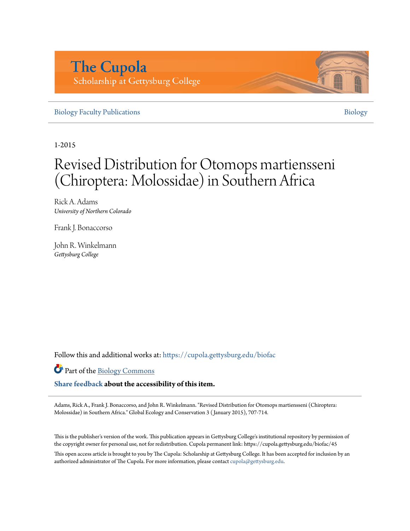## **The Cupola** Scholarship at Gettysburg College

[Biology Faculty Publications](https://cupola.gettysburg.edu/biofac?utm_source=cupola.gettysburg.edu%2Fbiofac%2F45&utm_medium=PDF&utm_campaign=PDFCoverPages) **[Biology](https://cupola.gettysburg.edu/biology?utm_source=cupola.gettysburg.edu%2Fbiofac%2F45&utm_medium=PDF&utm_campaign=PDFCoverPages)** 

1-2015

# Revised Distribution for Otomops martiensseni (Chiroptera: Molossidae) in Southern Africa

Rick A. Adams *University of Northern Colorado*

Frank J. Bonaccorso

John R. Winkelmann *Gettysburg College*

Follow this and additional works at: [https://cupola.gettysburg.edu/biofac](https://cupola.gettysburg.edu/biofac?utm_source=cupola.gettysburg.edu%2Fbiofac%2F45&utm_medium=PDF&utm_campaign=PDFCoverPages)

Part of the [Biology Commons](http://network.bepress.com/hgg/discipline/41?utm_source=cupola.gettysburg.edu%2Fbiofac%2F45&utm_medium=PDF&utm_campaign=PDFCoverPages)

**[Share feedback](https://docs.google.com/a/bepress.com/forms/d/1h9eEcpBPj5POs5oO6Y5A0blXRmZqykoonyYiZUNyEq8/viewform) about the accessibility of this item.**

Adams, Rick A., Frank J. Bonaccorso, and John R. Winkelmann. "Revised Distribution for Otomops martiensseni (Chiroptera: Molossidae) in Southern Africa." Global Ecology and Conservation 3 ( January 2015), 707-714.

This is the publisher's version of the work. This publication appears in Gettysburg College's institutional repository by permission of the copyright owner for personal use, not for redistribution. Cupola permanent link: https://cupola.gettysburg.edu/biofac/45

This open access article is brought to you by The Cupola: Scholarship at Gettysburg College. It has been accepted for inclusion by an authorized administrator of The Cupola. For more information, please contact [cupola@gettysburg.edu.](mailto:cupola@gettysburg.edu)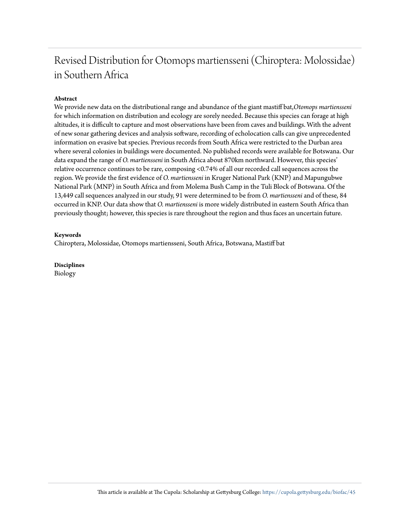## Revised Distribution for Otomops martiensseni (Chiroptera: Molossidae) in Southern Africa

#### **Abstract**

We provide new data on the distributional range and abundance of the giant mastiff bat,*Otomops martiensseni* for which information on distribution and ecology are sorely needed. Because this species can forage at high altitudes, it is difficult to capture and most observations have been from caves and buildings. With the advent of new sonar gathering devices and analysis software, recording of echolocation calls can give unprecedented information on evasive bat species. Previous records from South Africa were restricted to the Durban area where several colonies in buildings were documented. No published records were available for Botswana. Our data expand the range of *O. martiensseni* in South Africa about 870km northward. However, this species' relative occurrence continues to be rare, composing <0.74% of all our recorded call sequences across the region. We provide the first evidence of *O. martiensseni* in Kruger National Park (KNP) and Mapungubwe National Park (MNP) in South Africa and from Molema Bush Camp in the Tuli Block of Botswana. Of the 13,449 call sequences analyzed in our study, 91 were determined to be from *O. martiensseni* and of these, 84 occurred in KNP. Our data show that *O. martiensseni* is more widely distributed in eastern South Africa than previously thought; however, this species is rare throughout the region and thus faces an uncertain future.

#### **Keywords**

Chiroptera, Molossidae, Otomops martiensseni, South Africa, Botswana, Mastiff bat

**Disciplines**

Biology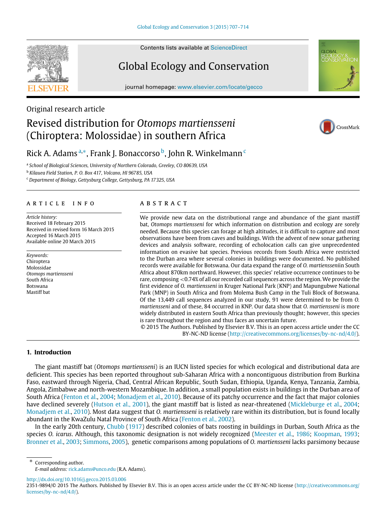Contents lists available at [ScienceDirect](http://www.elsevier.com/locate/gecco)

Global Ecology and Conservation

journal homepage: [www.elsevier.com/locate/gecco](http://www.elsevier.com/locate/gecco)

Original research article

### Revised distribution for *Otomops martiensseni* (Chiroptera: Molossidae) in southern Africa

# CrossMark

### Rick A. Adams <sup>[a,](#page-2-0)</sup>\*, Frank J. Bonaccorso <sup>[b](#page-2-2)</sup>, John R. Winkelmann <sup>[c](#page-2-3)</sup>

<span id="page-2-0"></span>a *School of Biological Sciences, University of Northern Colorado, Greeley, CO 80639, USA*

<span id="page-2-2"></span><sup>b</sup> *Kilauea Field Station, P. O. Box 417, Volcano, HI 96785, USA*

<span id="page-2-3"></span><sup>c</sup> *Department of Biology, Gettysburg College, Gettysburg, PA 17325, USA*

#### a r t i c l e i n f o

*Article history:* Received 18 February 2015 Received in revised form 16 March 2015 Accepted 16 March 2015 Available online 20 March 2015

*Keywords:* Chiroptera Molossidae *Otomops martiensseni* South Africa Botswana Mastiff bat

#### A B S T R A C T

We provide new data on the distributional range and abundance of the giant mastiff bat, *Otomops martiensseni* for which information on distribution and ecology are sorely needed. Because this species can forage at high altitudes, it is difficult to capture and most observations have been from caves and buildings. With the advent of new sonar gathering devices and analysis software, recording of echolocation calls can give unprecedented information on evasive bat species. Previous records from South Africa were restricted to the Durban area where several colonies in buildings were documented. No published records were available for Botswana. Our data expand the range of *O. martiensseni*in South Africa about 870km northward. However, this species' relative occurrence continues to be rare, composing <0.74% of all our recorded call sequences across the region. We provide the first evidence of *O. martiensseni* in Kruger National Park (KNP) and Mapungubwe National Park (MNP) in South Africa and from Molema Bush Camp in the Tuli Block of Botswana. Of the 13,449 call sequences analyzed in our study, 91 were determined to be from *O. martiensseni* and of these, 84 occurred in KNP. Our data show that *O. martiensseni* is more widely distributed in eastern South Africa than previously thought; however, this species is rare throughout the region and thus faces an uncertain future.

© 2015 The Authors. Published by Elsevier B.V. This is an open access article under the CC BY-NC-ND license [\(http://creativecommons.org/licenses/by-nc-nd/4.0/\)](http://creativecommons.org/licenses/by-nc-nd/4.0/).

#### **1. Introduction**

The giant mastiff bat (*Otomops martiensseni*) is an IUCN listed species for which ecological and distributional data are deficient. This species has been reported throughout sub-Saharan Africa with a noncontiguous distribution from Burkina Faso, eastward through Nigeria, Chad, Central African Republic, South Sudan, Ethiopia, Uganda, Kenya, Tanzania, Zambia, Angola, Zimbabwe and north-western Mozambique. In addition, a small population exists in buildings in the Durban area of South Africa [\(Fenton](#page-9-0) [et al.,](#page-9-0) [2004;](#page-9-0) [Monadjem](#page-9-1) [et al.,](#page-9-1) [2010\)](#page-9-1). Because of its patchy occurrence and the fact that major colonies have declined severely [\(Hutson](#page-9-2) [et al.,](#page-9-3) [2001\)](#page-9-2), the giant mastiff bat is listed as near-threatened [\(Mickleburge](#page-9-3) et al., [2004;](#page-9-3) [Monadjem](#page-9-1) [et al.,](#page-9-1) [2010\)](#page-9-1). Most data suggest that *O. martiensseni* is relatively rare within its distribution, but is found locally abundant in the KwaZulu Natal Province of South Africa [\(Fenton](#page-9-4) [et al.,](#page-9-4) [2002\)](#page-9-4).

In the early 20th century, [Chubb](#page-9-5) [\(1917\)](#page-9-5) described colonies of bats roosting in buildings in Durban, South Africa as the species *O. icarus*. Although, this taxonomic designation is not widely recognized [\(Meester](#page-9-6) [et al.,](#page-9-6) [1986;](#page-9-6) [Koopman,](#page-9-7) [1993;](#page-9-7) [Bronner](#page-9-8) [et al.,](#page-9-8) [2003;](#page-9-8) [Simmons,](#page-9-9) [2005\)](#page-9-9), genetic comparisons among populations of *O. martiensseni* lacks parsimony because

∗ Corresponding author.

<span id="page-2-1"></span>*E-mail address:* [rick.adams@unco.edu](mailto:rick.adams@unco.edu) (R.A. Adams).

<http://dx.doi.org/10.1016/j.gecco.2015.03.006>







<sup>2351-9894/</sup>© 2015 The Authors. Published by Elsevier B.V. This is an open access article under the CC BY-NC-ND license [\(http://creativecommons.org/](http://creativecommons.org/licenses/by-nc-nd/4.0/) [licenses/by-nc-nd/4.0/\)](http://creativecommons.org/licenses/by-nc-nd/4.0/).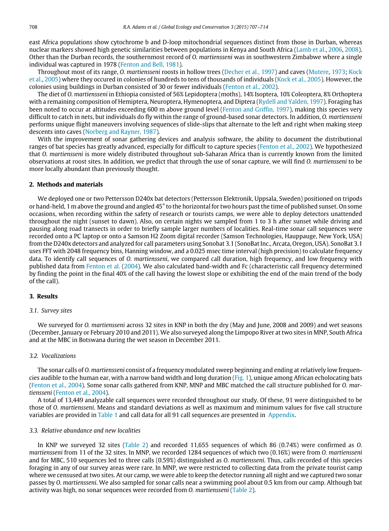east Africa populations show cytochrome b and D-loop mitochondrial sequences distinct from those in Durban, whereas nuclear markers showed high genetic similarities between populations in Kenya and South Africa [\(Lamb](#page-9-10) [et al.,](#page-9-10) [2006,](#page-9-10) [2008\)](#page-9-10). Other than the Durban records, the southernmost record of *O. martiensseni* was in southwestern Zimbabwe where a single individual was captured in 1978 [\(Fenton](#page-9-11) [and](#page-9-11) [Bell,](#page-9-11) [1981\)](#page-9-11).

Throughout most of its range, *O. martiensseni* roosts in hollow trees [\(Decher](#page-9-12) [et al.,](#page-9-12) [1997\)](#page-9-12) and caves [\(Mutere,](#page-9-13) [1973;](#page-9-13) [Kock](#page-9-14) [et al.,](#page-9-14) [2005\)](#page-9-14) where they occured in colonies of hundreds to tens of thousands of individuals [\(Kock](#page-9-14) [et al.,](#page-9-14) [2005\)](#page-9-14). However, the colonies using buildings in Durban consisted of 30 or fewer individuals [\(Fenton](#page-9-4) [et al.,](#page-9-4) [2002\)](#page-9-4).

The diet of *O. martiensseni* in Ethiopia consisted of 56% Lepidoptera (moths), 14% Isoptera, 10% Coleoptera, 8% Orthoptera with a remaining composition of Hemiptera, Neuroptera, Hymenoptera, and Diptera [\(Rydell](#page-9-15) [and](#page-9-15) [Yalden,](#page-9-15) [1997\)](#page-9-15). Foraging has been noted to occur at altitudes exceeding 600 m above ground level [\(Fenton](#page-9-16) [and](#page-9-16) [Griffin,](#page-9-16) [1997\)](#page-9-16), making this species very difficult to catch in nets, but individuals do fly within the range of ground-based sonar detectors. In addition, *O. martiensseni* performs unique flight maneuvers involving sequences of slide-slips that alternate to the left and right when making steep descents into caves [\(Norberg](#page-9-17) [and](#page-9-17) [Rayner,](#page-9-17) [1987\)](#page-9-17).

With the improvement of sonar gathering devices and analysis software, the ability to document the distributional ranges of bat species has greatly advanced, especially for difficult to capture species [\(Fenton](#page-9-4) [et al.,](#page-9-4) [2002\)](#page-9-4). We hypothesized that *O. martiensseni* is more widely distributed throughout sub-Saharan Africa than is currently known from the limited observations at roost sites. In addition, we predict that through the use of sonar capture, we will find *O. martiensseni* to be more locally abundant than previously thought.

#### **2. Methods and materials**

We deployed one or two Pettersson D240x bat detectors (Pettersson Elektronik, Uppsala, Sweden) positioned on tripods or hand-held, 1 m above the ground and angled 45° to the horizontal for two hours past the time of published sunset. On some occasions, when recording within the safety of research or tourists camps, we were able to deploy detectors unattended throughout the night (sunset to dawn). Also, on certain nights we sampled from 1 to 3 h after sunset while driving and pausing along road transects in order to briefly sample larger numbers of localities. Real-time sonar call sequences were recorded onto a PC laptop or onto a Samson H2 Zoom digital recorder (Samson Technologies, Hauppauge, New York, USA) from the D240x detectors and analyzed for call parameters using Sonobat 3.1 (SonoBat Inc., Arcata, Oregon, USA). SonoBat 3.1 uses FFT with 2048 frequency bins, Hanning window, and a 0.025 msec time interval (high precision) to calculate frequency data. To identify call sequences of *O. martiensseni*, we compared call duration, high frequency, and low frequency with published data from [Fenton](#page-9-0) [et al.](#page-9-0) [\(2004\)](#page-9-0). We also calculated band-width and Fc (characteristic call frequency determined by finding the point in the final 40% of the call having the lowest slope or exhibiting the end of the main trend of the body of the call).

#### **3. Results**

#### *3.1. Survey sites*

We surveyed for *O. martiensseni* across 32 sites in KNP in both the dry (May and June, 2008 and 2009) and wet seasons (December, January or February 2010 and 2011). We also surveyed along the Limpopo River at two sites in MNP, South Africa and at the MBC in Botswana during the wet season in December 2011.

#### *3.2. Vocalizations*

The sonar calls of *O. martiensseni* consist of a frequency modulated sweep beginning and ending at relatively low frequencies audible to the human ear, with a narrow band width and long duration [\(Fig. 1\)](#page-4-0), unique among African echolocating bats [\(Fenton](#page-9-0) [et al.,](#page-9-0) [2004\)](#page-9-0). Some sonar calls gathered from KNP, MNP and MBC matched the call structure published for *O. martiensseni* [\(Fenton](#page-9-0) [et al.,](#page-9-0) [2004\)](#page-9-0).

A total of 13,449 analyzable call sequences were recorded throughout our study. Of these, 91 were distinguished to be those of *O. martiensseni*. Means and standard deviations as well as maximum and minimum values for five call structure variables are provided in [Table 1](#page-4-1) and call data for all 91 call sequences are presented in [Appendix.](#page-8-0)

#### *3.3. Relative abundance and new localities*

In KNP we surveyed 32 sites [\(Table 2\)](#page-5-0) and recorded 11,655 sequences of which 86 (0.74%) were confirmed as *O. martiensseni* from 11 of the 32 sites. In MNP, we recorded 1284 sequences of which two (0.16%) were from *O. martiensseni* and for MBC, 510 sequences led to three calls (0.59%) distinguished as *O. martiensseni*. Thus, calls recorded of this species foraging in any of our survey areas were rare. In MNP, we were restricted to collecting data from the private tourist camp where we censused at two sites. At our camp, we were able to keep the detector running all night and we captured two sonar passes by *O. martiensseni*. We also sampled for sonar calls near a swimming pool about 0.5 km from our camp. Although bat activity was high, no sonar sequences were recorded from *O. martiensseni* [\(Table 2\)](#page-5-0).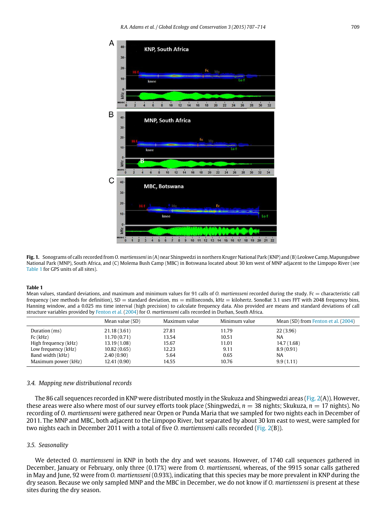<span id="page-4-0"></span>

**Fig. 1.** Sonograms of calls recorded from *O. martiensseni* in (A) near Shingwedzi in northern Kruger National Park (KNP) and (B) Leokwe Camp, Mapungubwe National Park (MNP), South Africa, and (C) Molema Bush Camp (MBC) in Botswana located about 30 km west of MNP adjacent to the Limpopo River (see [Table 1](#page-4-1) for GPS units of all sites).

#### <span id="page-4-1"></span>**Table 1**

Mean values, standard deviations, and maximum and minimum values for 91 calls of *O. martiensseni* recorded during the study. Fc = characteristic call frequency (see methods for definition), SD = standard deviation, ms = milliseconds, kHz = kilohertz. SonoBat 3.1 uses FFT with 2048 frequency bins, Hanning window, and a 0.025 ms time interval (high precision) to calculate frequency data. Also provided are means and standard deviations of call structure variables provided by [Fenton](#page-9-0) [et al.](#page-9-0) [\(2004\)](#page-9-0) for *O. martiensseni* calls recorded in Durban, South Africa.

|                      | Mean value (SD) | Maximum value | Minimum value | Mean (SD) from Fenton et al. (2004) |
|----------------------|-----------------|---------------|---------------|-------------------------------------|
| Duration (ms)        | 21.18(3.61)     | 27.81         | 11.79         | 22(3.96)                            |
| Fc(kHz)              | 11.70(0.71)     | 13.54         | 10.51         | <b>NA</b>                           |
| High frequency (kHz) | 13.19 (1.08)    | 15.67         | 11.01         | 14.7 (1.68)                         |
| Low frequency (kHz)  | 10.82(0.65)     | 12.23         | 9.11          | 8.9(0.91)                           |
| Band width (kHz)     | 2.40(0.90)      | 5.64          | 0.65          | NA                                  |
| Maximum power (kHz)  | 12.41(0.90)     | 14.55         | 10.76         | 9.9(1.11)                           |

#### *3.4. Mapping new distributional records*

The 86 call sequences recorded in KNP were distributed mostly in the Skukuza and Shingwedzi areas [\(Fig. 2\(](#page-6-0)A)). However, these areas were also where most of our survey efforts took place (Shingwedzi,  $n = 38$  nights; Skukuza,  $n = 17$  nights). No recording of *O. martiensseni* were gathered near Orpen or Punda Maria that we sampled for two nights each in December of 2011. The MNP and MBC, both adjacent to the Limpopo River, but separated by about 30 km east to west, were sampled for two nights each in December 2011 with a total of five *O. martiensseni* calls recorded [\(Fig. 2\(](#page-6-0)B)).

#### *3.5. Seasonality*

We detected *O. martiensseni* in KNP in both the dry and wet seasons. However, of 1740 call sequences gathered in December, January or February, only three (0.17%) were from *O. martiensseni,* whereas, of the 9915 sonar calls gathered in May and June, 92 were from *O. martiensseni* (0.93%), indicating that this species may be more prevalent in KNP during the dry season. Because we only sampled MNP and the MBC in December, we do not know if *O. martiensseni* is present at these sites during the dry season.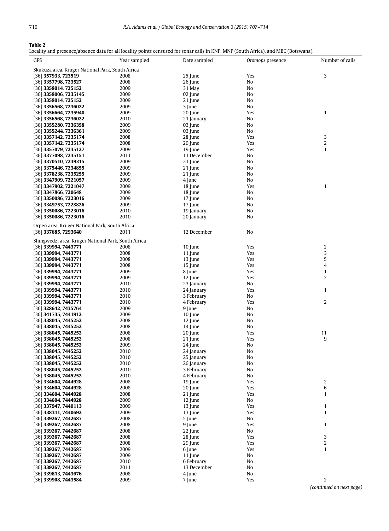#### <span id="page-5-0"></span>**Table 2**

Locality and presence/absence data for all locality points censused for sonar calls in KNP, MNP (South Africa), and MBC (Botswana).

| GPS                                                 | Year sampled | Date sampled | Otomops presence | Number of calls  |
|-----------------------------------------------------|--------------|--------------|------------------|------------------|
| Skukuza area, Kruger National Park, South Africa    |              |              |                  |                  |
| [36] 357933, 723519                                 | 2008         | 25 June      | Yes              | 3                |
| [36] 3357798, 723527                                | 2008         | 26 June      | No               |                  |
| [36] 3358014, 725152                                | 2009         | 31 May       | No               |                  |
| [36] 3358006, 7235145                               | 2009         | 02 June      | No               |                  |
| [36] 3358014, 725152                                | 2009         | 21 June      | No               |                  |
| [36] 3356568, 7236022                               | 2009         | 3 June       | No               |                  |
| [36] 3356664, 7235940                               | 2009         | 20 June      | Yes              | $\mathbf{1}$     |
| [36] 3356568, 7236022                               | 2010         | 21 January   | No               |                  |
| [36] 3355280, 7236358                               | 2009         | 03 June      | No               |                  |
| [36] 3355244, 7236361                               | 2009         | 03 June      | No               |                  |
| [36] 3357142, 7235174                               | 2008         | 28 June      | Yes              | 3                |
| [36] 3357142, 7235174                               | 2008         | 29 June      | Yes              | $\overline{c}$   |
| [36] 3357079, 7235127                               | 2009         | 19 June      | Yes              | $\mathbf{1}$     |
| [36] 3377098, 7235151                               | 2011         | 11 December  | No               |                  |
|                                                     |              |              |                  |                  |
| [36] 3370510, 7239315                               | 2009         | 21 June      | No               |                  |
| [36] 3375446, 7234855                               | 2009         | 21 June      | No               |                  |
| [36] 3378238, 7235255                               | 2009         | 21 June      | No               |                  |
| [36] 3347909, 7221057                               | 2009         | 4 June       | No               |                  |
| [36] 3347902, 7221047                               | 2009         | 18 June      | Yes              | $\mathbf{1}$     |
| [36] 3347866, 720648                                | 2009         | 18 June      | No               |                  |
| $[36]$ 3350086, 7223016                             | 2009         | 17 June      | No               |                  |
| [36] 3349753, 7228826                               | 2009         | 17 June      | No               |                  |
| [36] 3350086, 7223016                               | 2010         | 19 January   | No               |                  |
| [36] 3350086, 7223016                               | 2010         | 20 January   | No               |                  |
| Orpen area, Kruger National Park, South Africa      |              |              |                  |                  |
| [36] 337685, 7293640                                | 2011         | 12 December  | No               |                  |
|                                                     |              |              |                  |                  |
| Shingwedzi area, Kruger National Park, South Africa |              |              |                  |                  |
| [36] 339994, 7443771                                | 2008         | 10 June      | Yes              | $\overline{c}$   |
| [36] <b>339994, 7443771</b>                         | 2008         | 11 June      | Yes              | 3                |
| [36] 339994, 7443771                                | 2008         | 13 June      | Yes              | 5                |
| [36] <b>339994, 7443771</b>                         | 2008         | 15 June      | Yes              | 4                |
| [36] 339994, 7443771                                | 2009         | 8 June       | Yes              | $\mathbf{1}$     |
| [36] 339994, 7443771                                | 2009         | 12 June      | Yes              | $\overline{2}$   |
| [36] 339994, 7443771                                | 2010         | 23 January   | No               |                  |
| 36  <b>339994, 7443771</b>                          | 2010         | 24 January   | Yes              | $\mathbf{1}$     |
| [36] <b>339994, 7443771</b>                         | 2010         | 3 February   | No               |                  |
| [36] <b>339994, 7443771</b>                         | 2010         | 4 February   | Yes              | $\overline{2}$   |
| [36] 328642, 7435764                                | 2009         | 9 June       | No               |                  |
| [36] 341735, 7441912                                | 2009         | 10 June      | No               |                  |
| [36] 338045, 7445252                                | 2008         | 12 June      | No               |                  |
| [36] 338045, 7445252                                | 2008         | 14 June      | No               |                  |
| 36  <b>338045, 7445252</b>                          | 2008         | 20 June      | Yes              | 11               |
| [36] 338045, 7445252                                | 2008         | 21 June      | Yes              | 9                |
| [36] 338045, 7445252                                | 2009         | 24 June      | No               |                  |
| [36] 338045, 7445252                                | 2010         | 24 January   | No               |                  |
| [36] 338045, 7445252                                | 2010         | 25 January   | No               |                  |
| [36] 338045, 7445252                                | 2010         | 26 January   | No               |                  |
| [36] 338045, 7445252                                | 2010         | 3 February   | No               |                  |
| 36  <b>338045, 7445252</b>                          | 2010         | 4 February   | No               |                  |
| [36] 334604, 7444928                                | 2008         | 19 June      | Yes              | $\overline{c}$   |
| [36] 334604, 7444928                                | 2008         | 20 June      | Yes              | 6                |
| [36] <b>334604, 7444928</b>                         | 2008         | 21 June      | Yes              | $\mathbf{1}$     |
| [36] 334604, 7444928                                | 2009         | 12 June      | No               |                  |
| [36] 337947, 7440113                                | 2009         | 13 June      | Yes              | $\mathbf{1}$     |
| [36] 338311, 7440692                                | 2009         | 13 June      | Yes              | $\mathbf{1}$     |
| [36] 339267, 7442687                                | 2008         | 5 June       | No               |                  |
| [36] 339267, 7442687                                | 2008         | 9 June       | Yes              | $\mathbf{1}$     |
| [36] 339267, 7442687                                | 2008         | 22 June      | No               |                  |
| [36] 339267, 7442687                                | 2008         | 28 June      | Yes              | 3                |
| [36] 339267, 7442687                                | 2008         | 29 June      | Yes              | $\boldsymbol{2}$ |
| [36] 339267, 7442687                                | 2009         | 6 June       | Yes              | $\mathbf{1}$     |
| [36] 339267, 7442687                                | 2009         | 11 June      | No               |                  |
| [36] 339267, 7442687                                | 2010         | 6 February   | No               |                  |
| [36] 339267, 7442687                                | 2011         | 13 December  | No               |                  |
| [36] 339813, 7443676                                | 2008         | 4 June       | No               |                  |
|                                                     | 2009         | 7 June       | Yes              | $\boldsymbol{2}$ |
| [36] 339908, 7443584                                |              |              |                  |                  |

*(continued on next page)*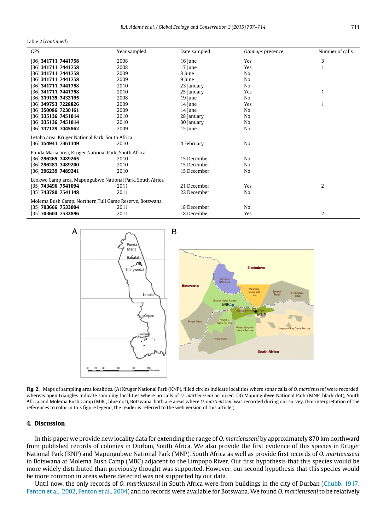Table 2 (*continued*)

| <b>GPS</b>                                               | Year sampled | Date sampled | Otomops presence | Number of calls |  |
|----------------------------------------------------------|--------------|--------------|------------------|-----------------|--|
| [36] 341711, 7441758                                     | 2008         | 16 June      | Yes              | 3               |  |
| [36] 341711, 7441758                                     | 2008         | 17 June      | Yes              | $\mathbf{1}$    |  |
| [36] 341711, 7441758                                     | 2009         | 8 June       | No               |                 |  |
| [36] 341711, 7441758                                     | 2009         | 9 June       | N <sub>0</sub>   |                 |  |
| [36] 341711, 7441758                                     | 2010         | 23 January   | No               |                 |  |
| [36] 341711, 7441758                                     | 2010         | 25 January   | Yes              | $\mathbf{1}$    |  |
| [36] 319135, 7432195                                     | 2008         | 19 June      | No               |                 |  |
| [36] 349753, 7228826                                     | 2009         | 14 June      | Yes              | $\mathbf{1}$    |  |
| [36] 350086, 7230161                                     | 2009         | 14 June      | No               |                 |  |
| [36] 335136, 7451014                                     | 2010         | 28 January   | N <sub>0</sub>   |                 |  |
| [36] 335136, 7451014                                     | 2010         | 30 January   | No               |                 |  |
| [36] 337129, 7445862                                     | 2009         | 15 June      | No               |                 |  |
| Letaba area, Kruger National Park, South Africa          |              |              |                  |                 |  |
| [36] 354941, 7361349                                     | 2010         | 4 February   | No               |                 |  |
| Punda Maria area, Kruger National Park, South Africa     |              |              |                  |                 |  |
| [36] 296265, 7489265                                     | 2010         | 15 December  | No               |                 |  |
| [36] 296281, 7489200                                     | 2010         | 15 December  | No               |                 |  |
| [36] 296239, 7489241                                     | 2010         | 15 December  | No               |                 |  |
| Leokwe Camp area, Mapungubwe National Park, South Africa |              |              |                  |                 |  |
| [35] 743496, 7541094                                     | 2011         | 21 December  | Yes              | $\overline{2}$  |  |
| [35] 743780, 7541148                                     | 2011         | 22 December  | No               |                 |  |
| Molema Bush Camp, Northern Tuli Game Reserve, Botswana   |              |              |                  |                 |  |
| [35] 703666, 7533004                                     | 2011         | 18 December  | No               |                 |  |
| [35] 703604, 7532896                                     | 2011         | 18 December  | Yes              | $\overline{2}$  |  |

<span id="page-6-0"></span>

**Fig. 2.** Maps of sampling area localities. (A) Kruger National Park (KNP), filled circles indicate localities where sonar calls of *O. martiensseni* were recorded, whereas open triangles indicate sampling localities where no calls of *O. martiensseni* occurred. (B) Mapungubwe National Park (MNP, black dot), South Africa and Molema Bush Camp (MBC, blue dot), Botswana, both are areas where *O. martiensseni* was recorded during our survey. (For interpretation of the references to color in this figure legend, the reader is referred to the web version of this article.)

#### **4. Discussion**

In this paper we provide new locality data for extending the range of *O. martiensseni* by approximately 870 km northward from published records of colonies in Durban, South Africa. We also provide the first evidence of this species in Kruger National Park (KNP) and Mapungubwe National Park (MNP), South Africa as well as provide first records of *O. martiensseni* in Botswana at Molema Bush Camp (MBC) adjacent to the Limpopo River. Our first hypothesis that this species would be more widely distributed than previously thought was supported. However, our second hypothesis that this species would be more common in areas where detected was not supported by our data.

Until now, the only records of *O. martiensseni* in South Africa were from buildings in the city of Durban [\(Chubb,](#page-9-5) [1917,](#page-9-5) [Fenton](#page-9-4) [et al.,](#page-9-4) [2002,](#page-9-4) [Fenton](#page-9-0) [et al.,](#page-9-0) [2004\)](#page-9-0) and no records were available for Botswana. We found *O. martiensseni* to be relatively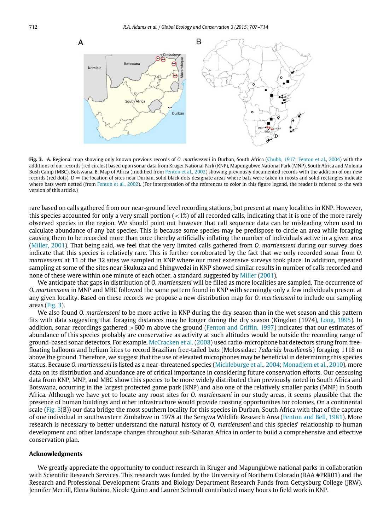<span id="page-7-0"></span>

**Fig. 3.** A. Regional map showing only known previous records of *O. martiensseni* in Durban, South Africa [\(Chubb,](#page-9-5) [1917;](#page-9-5) [Fenton](#page-9-0) [et al.,](#page-9-0) [2004\)](#page-9-0) with the additions of our records (red circles) based upon sonar data from Kruger National Park (KNP), Mapungubwe National Park (MNP), South Africa and Molema Bush Camp (MBC), Botswana. B. Map of Africa (modified from [Fenton](#page-9-4) [et al.,](#page-9-4) [2002\)](#page-9-4) showing previously documented records with the addition of our new records (red dots).  $D =$  the location of sites near Durban, solid black dots designate areas where bats were taken in roosts and solid rectangles indicate where bats were netted (from [Fenton](#page-9-4) [et al.,](#page-9-4) [2002\)](#page-9-4). (For interpretation of the references to color in this figure legend, the reader is referred to the web version of this article.)

rare based on calls gathered from our near-ground level recording stations, but present at many localities in KNP. However, this species accounted for only a very small portion  $\left($  < 1%) of all recorded calls, indicating that it is one of the more rarely observed species in the region. We should point out however that call sequence data can be misleading when used to calculate abundance of any bat species. This is because some species may be predispose to circle an area while foraging causing them to be recorded more than once thereby artificially inflating the number of individuals active in a given area [\(Miller,](#page-9-18) [2001\)](#page-9-18). That being said, we feel that the very limited calls gathered from *O. martiensseni* during our survey does indicate that this species is relatively rare. This is further corroborated by the fact that we only recorded sonar from *O. martiensseni* at 11 of the 32 sites we sampled in KNP where our most extensive surveys took place. In addition, repeated sampling at some of the sites near Skukuza and Shingwedzi in KNP showed similar results in number of calls recorded and none of these were within one minute of each other, a standard suggested by [Miller](#page-9-18) [\(2001\)](#page-9-18).

We anticipate that gaps in distribution of *O. martiensseni* will be filled as more localities are sampled. The occurrence of *O. martiensseni* in MNP and MBC followed the same pattern found in KNP with seemingly only a few individuals present at any given locality. Based on these records we propose a new distribution map for *O. martiensseni* to include our sampling areas [\(Fig. 3\)](#page-7-0).

We also found *O. martiensseni* to be more active in KNP during the dry season than in the wet season and this pattern fits with data suggesting that foraging distances may be longer during the dry season (Kingdon (1974), [Long,](#page-9-19) [1995\)](#page-9-19). In addition, sonar recordings gathered >600 m above the ground [\(Fenton](#page-9-16) [and](#page-9-16) [Griffin,](#page-9-16) [1997\)](#page-9-16) indicates that our estimates of abundance of this species probably are conservative as activity at such altitudes would be outside the recording range of ground-based sonar detectors. For example, [McCracken](#page-9-20) [et al.](#page-9-20) [\(2008\)](#page-9-20) used radio-microphone bat detectors strung from freefloating balloons and helium kites to record Brazilian free-tailed bats (Molossidae: *Tadarida brasiliensis*) foraging 1118 m above the ground. Therefore, we suggest that the use of elevated microphones may be beneficial in determining this species status. Because *O. martiensseni* is listed as a near-threatened species [\(Mickleburge](#page-9-3) [et al.,](#page-9-3) [2004;](#page-9-3) [Monadjem](#page-9-1) [et al.,](#page-9-1) [2010\)](#page-9-1), more data on its distribution and abundance are of critical importance in considering future conservation efforts. Our censusing data from KNP, MNP, and MBC show this species to be more widely distributed than previously noted in South Africa and Botswana, occurring in the largest protected game park (KNP) and also one of the relatively smaller parks (MNP) in South Africa. Although we have yet to locate any roost sites for *O. martiensseni* in our study areas, it seems plausible that the presence of human buildings and other infrastructure would provide roosting opportunities for colonies. On a continental scale [\(Fig. 3\(](#page-7-0)B)) our data bridge the most southern locality for this species in Durban, South Africa with that of the capture of one individual in southwestern Zimbabwe in 1978 at the Sengwa Wildlife Research Area [\(Fenton](#page-9-11) [and](#page-9-11) [Bell,](#page-9-11) [1981\)](#page-9-11). More research is necessary to better understand the natural history of *O. martiensseni* and this species' relationship to human development and other landscape changes throughout sub-Saharan Africa in order to build a comprehensive and effective conservation plan.

#### **Acknowledgments**

We greatly appreciate the opportunity to conduct research in Kruger and Mapungubwe national parks in collaboration with Scientific Research Services. This research was funded by the University of Northern Colorado (RAA #PRR01) and the Research and Professional Development Grants and Biology Department Research Funds from Gettysburg College (JRW). Jennifer Merrill, Elena Rubino, Nicole Quinn and Lauren Schmidt contributed many hours to field work in KNP.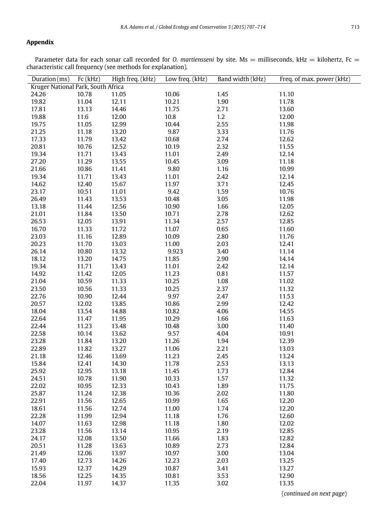#### <span id="page-8-0"></span>**Appendix**

Parameter data for each sonar call recorded for *O. martiensseni* by site. Ms = milliseconds, kHz = kilohertz, Fc = characteristic call frequency (see methods for explanation).

| Duration(ms)                       | Fc(kHz) | High freq. (kHz) | Low freq. (kHz) | Band width (kHz) | Freq. of max. power (kHz) |  |
|------------------------------------|---------|------------------|-----------------|------------------|---------------------------|--|
| Kruger National Park, South Africa |         |                  |                 |                  |                           |  |
| 24.26                              | 10.78   | 11.05            | 10.06           | 1.45             | 11.10                     |  |
| 19.82                              | 11.04   | 12.11            | 10.21           | 1.90             | 11.78                     |  |
| 17.81                              | 13.13   | 14.46            | 11.75           | 2.71             | 13.60                     |  |
| 19.88                              | 11.6    | 12.00            | 10.8            | 1.2              | 12.00                     |  |
| 19.75                              | 11.05   | 12.99            | 10.44           | 2.55             | 11.98                     |  |
| 21.25                              | 11.18   | 13.20            | 9.87            | 3.33             | 11.76                     |  |
| 17.33                              | 11.79   | 13.42            | 10.68           | 2.74             | 12.62                     |  |
| 20.81                              | 10.76   | 12.52            | 10.19           | 2.32             | 11.55                     |  |
| 19.34                              | 11.71   | 13.43            | 11.01           | 2.49             | 12.14                     |  |
| 27.20                              | 11.29   | 13.55            | 10.45           | 3.09             | 11.18                     |  |
| 21.66                              | 10.86   | 11.41            | 9.80            | 1.16             | 10.99                     |  |
| 19.34                              | 11.71   | 13.43            | 11.01           | 2.42             | 12.14                     |  |
| 14.62                              | 12.40   | 15.67            | 11.97           | 3.71             | 12.45                     |  |
| 23.17                              | 10.51   | 11.01            | 9.42            | 1.59             | 10.76                     |  |
| 26.49                              | 11.43   | 13.53            | 10.48           | 3.05             | 11.98                     |  |
| 13.18                              | 11.44   | 12.56            | 10.90           | 1.66             | 12.05                     |  |
| 21.01                              | 11.84   | 13.50            | 10.71           | 2.78             | 12.62                     |  |
| 26.53                              | 12.05   | 13.91            | 11.34           | 2.57             | 12.85                     |  |
| 16.70                              | 11.33   | 11.72            | 11.07           | 0.65             | 11.60                     |  |
| 23.03                              | 11.16   | 12.89            | 10.09           | 2.80             | 11.76                     |  |
| 20.23                              | 11.70   | 13.03            | 11.00           | 2.03             | 12.41                     |  |
| 26.14                              | 10.80   | 13.32            | 9.923           | 3.40             | 11.14                     |  |
| 18.12                              | 13.20   | 14.75            | 11.85           | 2.90             | 14.14                     |  |
| 19.34                              | 11.71   | 13.43            | 11.01           | 2.42             | 12.14                     |  |
| 14.92                              | 11.42   | 12.05            | 11.23           | 0.81             | 11.57                     |  |
| 21.04                              | 10.59   | 11.33            | 10.25           | 1.08             | 11.02                     |  |
| 23.50                              | 10.56   | 11.33            | 10.25           | 2.37             | 11.32                     |  |
| 22.76                              | 10.90   | 12.44            | 9.97            | 2.47             | 11.53                     |  |
| 20.57                              | 12.02   | 13.85            | 10.86           | 2.99             | 12.42                     |  |
| 18.04                              | 13.54   | 14.88            | 10.82           | 4.06             | 14.55                     |  |
| 22.64                              | 11.47   | 11.95            | 10.29           | 1.66             | 11.63                     |  |
| 22.44                              | 11.23   | 13.48            | 10.48           | 3.00             | 11.40                     |  |
| 22.58                              | 10.14   | 13.62            | 9.57            | 4.04             | 10.91                     |  |
| 23.28                              | 11.84   | 13.20            | 11.26           | 1.94             | 12.39                     |  |
| 22.89                              | 11.82   | 13.27            | 11.06           | 2.21             | 13.03                     |  |
| 21.18                              | 12.46   | 13.69            | 11.23           | 2.45             | 13.24                     |  |
| 15.84                              | 12.41   | 14.30            | 11.78           | 2.53             | 13.13                     |  |
| 25.92                              | 12.95   | 13.18            | 11.45           | 1.73             | 12.84                     |  |
| 24.51                              | 10.78   | 11.90            | 10.33           | 1.57             | 11.32                     |  |
| 22.02                              | 10.95   | 12.33            | 10.43           | 1.89             | 11.75                     |  |
| 25.87                              | 11.24   | 12.38            | 10.36           | 2.02             | 11.80                     |  |
| 22.91                              | 11.56   | 12.65            | 10.99           | 1.65             | 12.20                     |  |
| 18.61                              | 11.56   | 12.74            | 11.00           | 1.74             | 12.20                     |  |
| 22.28                              | 11.99   | 12.94            | 11.18           | 1.76             | 12.60                     |  |
| 14.07                              | 11.63   | 12.98            | 11.18           | 1.80             | 12.02                     |  |
| 23.28                              | 11.56   | 13.14            | 10.95           | 2.19             | 12.85                     |  |
| 24.17                              | 12.08   | 13.50            | 11.66           | 1.83             | 12.82                     |  |
| 20.51                              | 11.28   | 13.63            | 10.89           | 2.73             | 12.84                     |  |
| 21.49                              | 12.06   | 13.97            | 10.97           | 3.00             | 13.04                     |  |
| 17.40                              | 12.73   | 14.26            | 12.23           | 2.03             | 13.25                     |  |
| 15.93                              | 12.37   | 14.29            | 10.87           | 3.41             | 13.27                     |  |
| 18.56                              | 12.25   | 14.35            | 10.81           | 3.53             | 12.90                     |  |
| 22.04                              | 11.97   | 14.37            | 11.35           | 3.02             | 13.35                     |  |

(*continued on next page*)